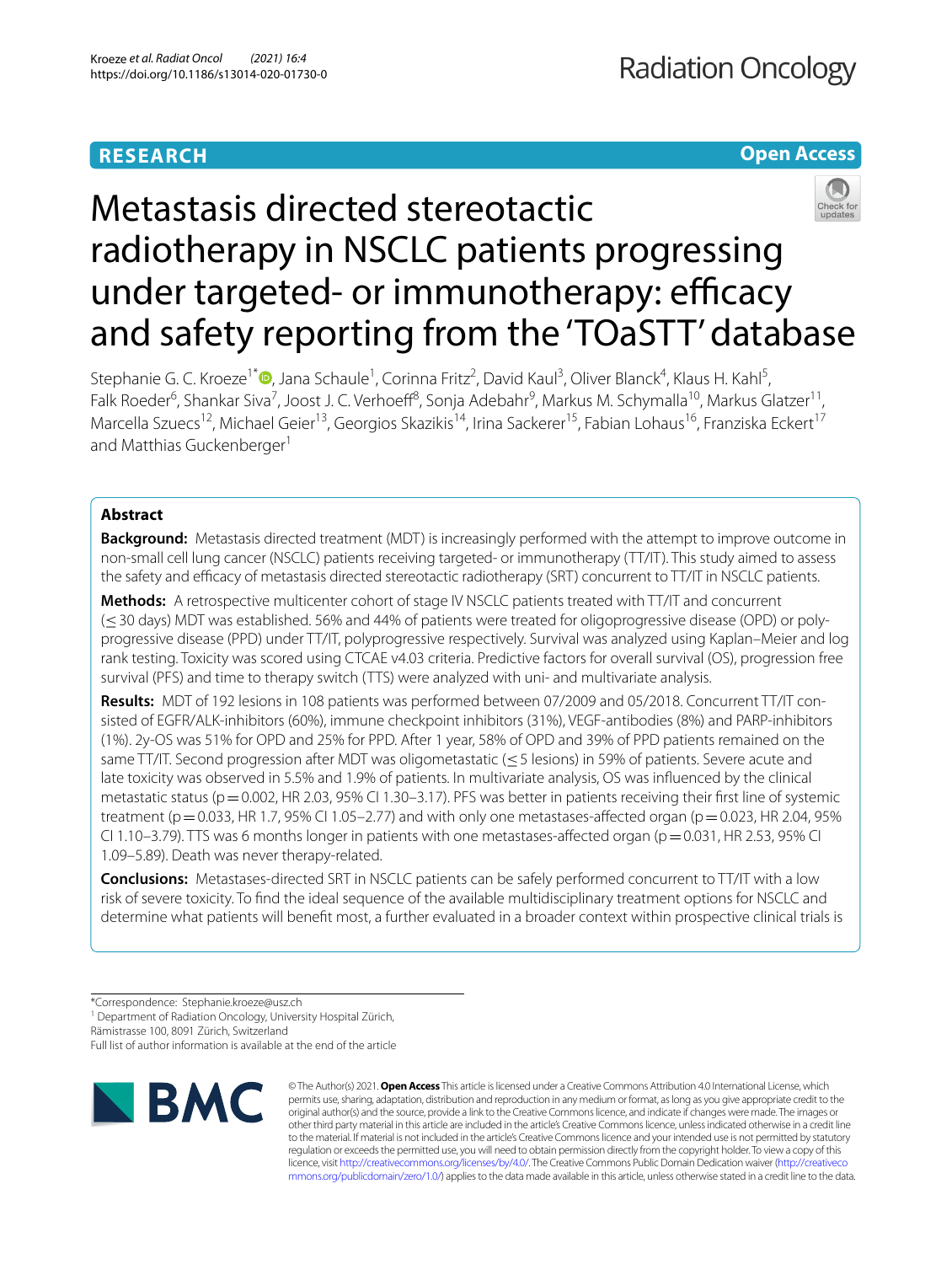# **RESEARCH**

# **Open Access**



# Metastasis directed stereotactic radiotherapy in NSCLC patients progressing under targeted- or immunotherapy: efficacy and safety reporting from the 'TOaSTT' database

Stephanie G. C. Kroeze<sup>1\*</sup><sup>D</sup>[,](http://orcid.org/0000-0002-1342-5310) Jana Schaule<sup>1</sup>, Corinna Fritz<sup>2</sup>, David Kaul<sup>3</sup>, Oliver Blanck<sup>4</sup>, Klaus H. Kahl<sup>5</sup>, Falk Roeder<sup>6</sup>, Shankar Siva<sup>7</sup>, Joost J. C. Verhoeff<sup>8</sup>, Sonja Adebahr<sup>9</sup>, Markus M. Schymalla<sup>10</sup>, Markus Glatzer<sup>11</sup>, Marcella Szuecs<sup>12</sup>, Michael Geier<sup>13</sup>, Georgios Skazikis<sup>14</sup>, Irina Sackerer<sup>15</sup>, Fabian Lohaus<sup>16</sup>, Franziska Eckert<sup>17</sup> and Matthias Guckenberger<sup>1</sup>

# **Abstract**

**Background:** Metastasis directed treatment (MDT) is increasingly performed with the attempt to improve outcome in non-small cell lung cancer (NSCLC) patients receiving targeted- or immunotherapy (TT/IT). This study aimed to assess the safety and efficacy of metastasis directed stereotactic radiotherapy (SRT) concurrent to TT/IT in NSCLC patients.

**Methods:** A retrospective multicenter cohort of stage IV NSCLC patients treated with TT/IT and concurrent (≤30 days) MDT was established. 56% and 44% of patients were treated for oligoprogressive disease (OPD) or polyprogressive disease (PPD) under TT/IT, polyprogressive respectively. Survival was analyzed using Kaplan–Meier and log rank testing. Toxicity was scored using CTCAE v4.03 criteria. Predictive factors for overall survival (OS), progression free survival (PFS) and time to therapy switch (TTS) were analyzed with uni- and multivariate analysis.

**Results:** MDT of 192 lesions in 108 patients was performed between 07/2009 and 05/2018. Concurrent TT/IT consisted of EGFR/ALK-inhibitors (60%), immune checkpoint inhibitors (31%), VEGF-antibodies (8%) and PARP-inhibitors (1%). 2y-OS was 51% for OPD and 25% for PPD. After 1 year, 58% of OPD and 39% of PPD patients remained on the same TT/IT. Second progression after MDT was oligometastatic (≤5 lesions) in 59% of patients. Severe acute and late toxicity was observed in 5.5% and 1.9% of patients. In multivariate analysis, OS was infuenced by the clinical metastatic status (p=0.002, HR 2.03, 95% CI 1.30–3.17). PFS was better in patients receiving their first line of systemic treatment ( $p=0.033$ , HR 1.7, 95% CI 1.05–2.77) and with only one metastases-affected organ ( $p=0.023$ , HR 2.04, 95% CI 1.10–3.79). TTS was 6 months longer in patients with one metastases-affected organ ( $p=0.031$ , HR 2.53, 95% CI 1.09–5.89). Death was never therapy-related.

**Conclusions:** Metastases-directed SRT in NSCLC patients can be safely performed concurrent to TT/IT with a low risk of severe toxicity. To fnd the ideal sequence of the available multidisciplinary treatment options for NSCLC and determine what patients will beneft most, a further evaluated in a broader context within prospective clinical trials is

<sup>1</sup> Department of Radiation Oncology, University Hospital Zürich,

Rämistrasse 100, 8091 Zürich, Switzerland

Full list of author information is available at the end of the article



© The Author(s) 2021. **Open Access** This article is licensed under a Creative Commons Attribution 4.0 International License, which permits use, sharing, adaptation, distribution and reproduction in any medium or format, as long as you give appropriate credit to the original author(s) and the source, provide a link to the Creative Commons licence, and indicate if changes were made. The images or other third party material in this article are included in the article's Creative Commons licence, unless indicated otherwise in a credit line to the material. If material is not included in the article's Creative Commons licence and your intended use is not permitted by statutory regulation or exceeds the permitted use, you will need to obtain permission directly from the copyright holder. To view a copy of this licence, visit [http://creativecommons.org/licenses/by/4.0/.](http://creativecommons.org/licenses/by/4.0/) The Creative Commons Public Domain Dedication waiver ([http://creativeco](http://creativecommons.org/publicdomain/zero/1.0/) [mmons.org/publicdomain/zero/1.0/](http://creativecommons.org/publicdomain/zero/1.0/)) applies to the data made available in this article, unless otherwise stated in a credit line to the data.

<sup>\*</sup>Correspondence: Stephanie.kroeze@usz.ch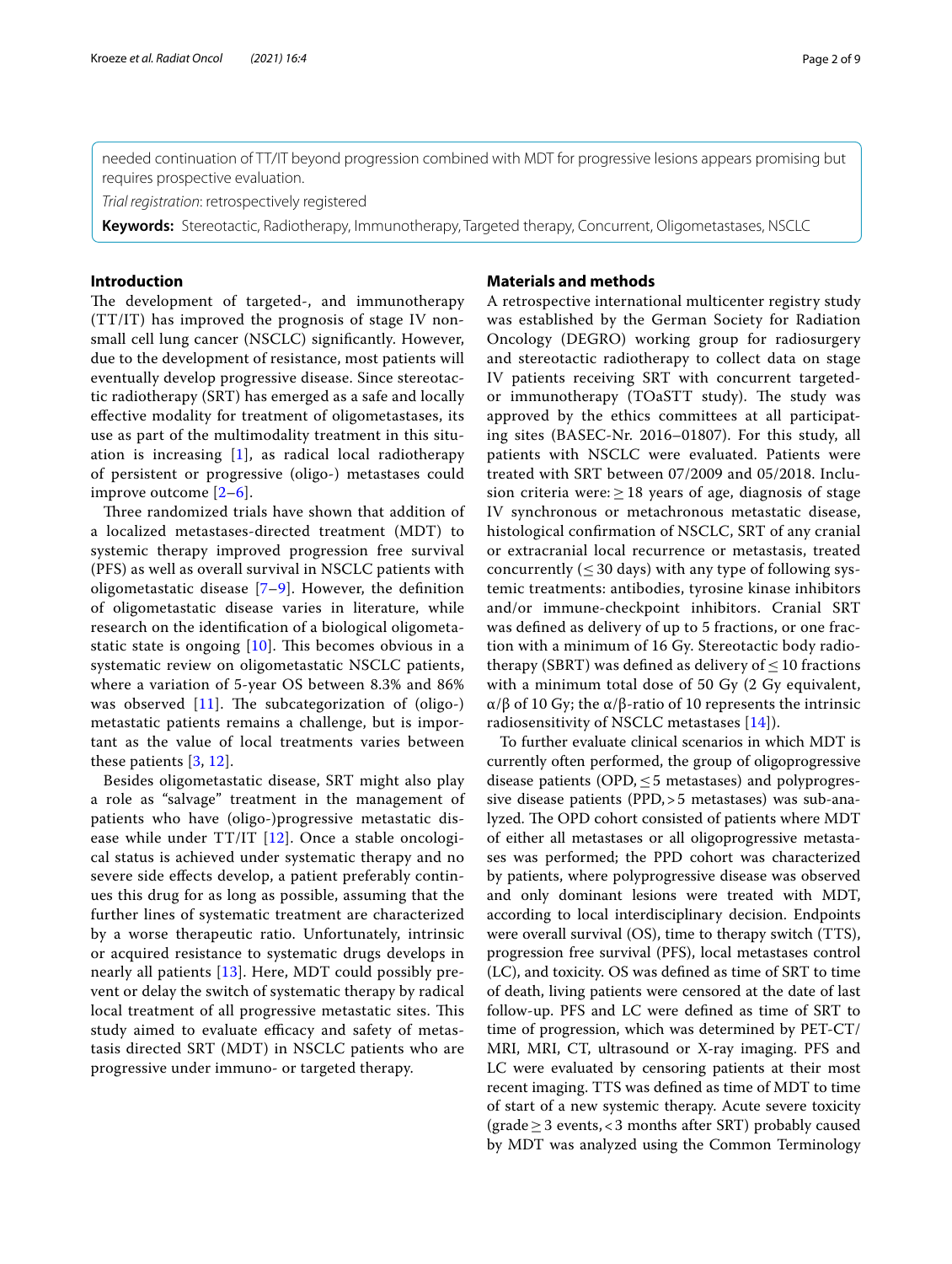needed continuation of TT/IT beyond progression combined with MDT for progressive lesions appears promising but requires prospective evaluation.

*Trial registration*: retrospectively registered

**Keywords:** Stereotactic, Radiotherapy, Immunotherapy, Targeted therapy, Concurrent, Oligometastases, NSCLC

## **Introduction**

The development of targeted-, and immunotherapy (TT/IT) has improved the prognosis of stage IV nonsmall cell lung cancer (NSCLC) signifcantly. However, due to the development of resistance, most patients will eventually develop progressive disease. Since stereotactic radiotherapy (SRT) has emerged as a safe and locally efective modality for treatment of oligometastases, its use as part of the multimodality treatment in this situation is increasing  $[1]$  $[1]$ , as radical local radiotherapy of persistent or progressive (oligo-) metastases could improve outcome [[2–](#page-7-1)[6\]](#page-7-2).

Three randomized trials have shown that addition of a localized metastases-directed treatment (MDT) to systemic therapy improved progression free survival (PFS) as well as overall survival in NSCLC patients with oligometastatic disease  $[7-9]$  $[7-9]$  $[7-9]$ . However, the definition of oligometastatic disease varies in literature, while research on the identifcation of a biological oligometastatic state is ongoing  $[10]$  $[10]$ . This becomes obvious in a systematic review on oligometastatic NSCLC patients, where a variation of 5-year OS between 8.3% and 86% was observed  $[11]$  $[11]$ . The subcategorization of (oligo-) metastatic patients remains a challenge, but is important as the value of local treatments varies between these patients [[3,](#page-7-4) [12\]](#page-8-3).

Besides oligometastatic disease, SRT might also play a role as "salvage" treatment in the management of patients who have (oligo-)progressive metastatic disease while under  $TT/IT$  [[12](#page-8-3)]. Once a stable oncological status is achieved under systematic therapy and no severe side efects develop, a patient preferably continues this drug for as long as possible, assuming that the further lines of systematic treatment are characterized by a worse therapeutic ratio. Unfortunately, intrinsic or acquired resistance to systematic drugs develops in nearly all patients [[13\]](#page-8-4). Here, MDT could possibly prevent or delay the switch of systematic therapy by radical local treatment of all progressive metastatic sites. This study aimed to evaluate efficacy and safety of metastasis directed SRT (MDT) in NSCLC patients who are progressive under immuno- or targeted therapy.

# **Materials and methods**

A retrospective international multicenter registry study was established by the German Society for Radiation Oncology (DEGRO) working group for radiosurgery and stereotactic radiotherapy to collect data on stage IV patients receiving SRT with concurrent targetedor immunotherapy (TOaSTT study). The study was approved by the ethics committees at all participating sites (BASEC-Nr. 2016–01807). For this study, all patients with NSCLC were evaluated. Patients were treated with SRT between 07/2009 and 05/2018. Inclusion criteria were:  $\geq$  18 years of age, diagnosis of stage IV synchronous or metachronous metastatic disease, histological confrmation of NSCLC, SRT of any cranial or extracranial local recurrence or metastasis, treated concurrently ( $\leq$  30 days) with any type of following systemic treatments: antibodies, tyrosine kinase inhibitors and/or immune-checkpoint inhibitors. Cranial SRT was defned as delivery of up to 5 fractions, or one fraction with a minimum of 16 Gy. Stereotactic body radiotherapy (SBRT) was defined as delivery of  $\leq$  10 fractions with a minimum total dose of 50 Gy (2 Gy equivalent, α/β of 10 Gy; the α/β-ratio of 10 represents the intrinsic radiosensitivity of NSCLC metastases [\[14](#page-8-5)]).

To further evaluate clinical scenarios in which MDT is currently often performed, the group of oligoprogressive disease patients (OPD, $\leq$ 5 metastases) and polyprogressive disease patients (PPD,>5 metastases) was sub-analyzed. The OPD cohort consisted of patients where MDT of either all metastases or all oligoprogressive metastases was performed; the PPD cohort was characterized by patients, where polyprogressive disease was observed and only dominant lesions were treated with MDT, according to local interdisciplinary decision. Endpoints were overall survival (OS), time to therapy switch (TTS), progression free survival (PFS), local metastases control (LC), and toxicity. OS was defned as time of SRT to time of death, living patients were censored at the date of last follow-up. PFS and LC were defned as time of SRT to time of progression, which was determined by PET-CT/ MRI, MRI, CT, ultrasound or X-ray imaging. PFS and LC were evaluated by censoring patients at their most recent imaging. TTS was defned as time of MDT to time of start of a new systemic therapy. Acute severe toxicity  $(\text{grade} \geq 3 \text{ events}, < 3 \text{ months after SRT})$  probably caused by MDT was analyzed using the Common Terminology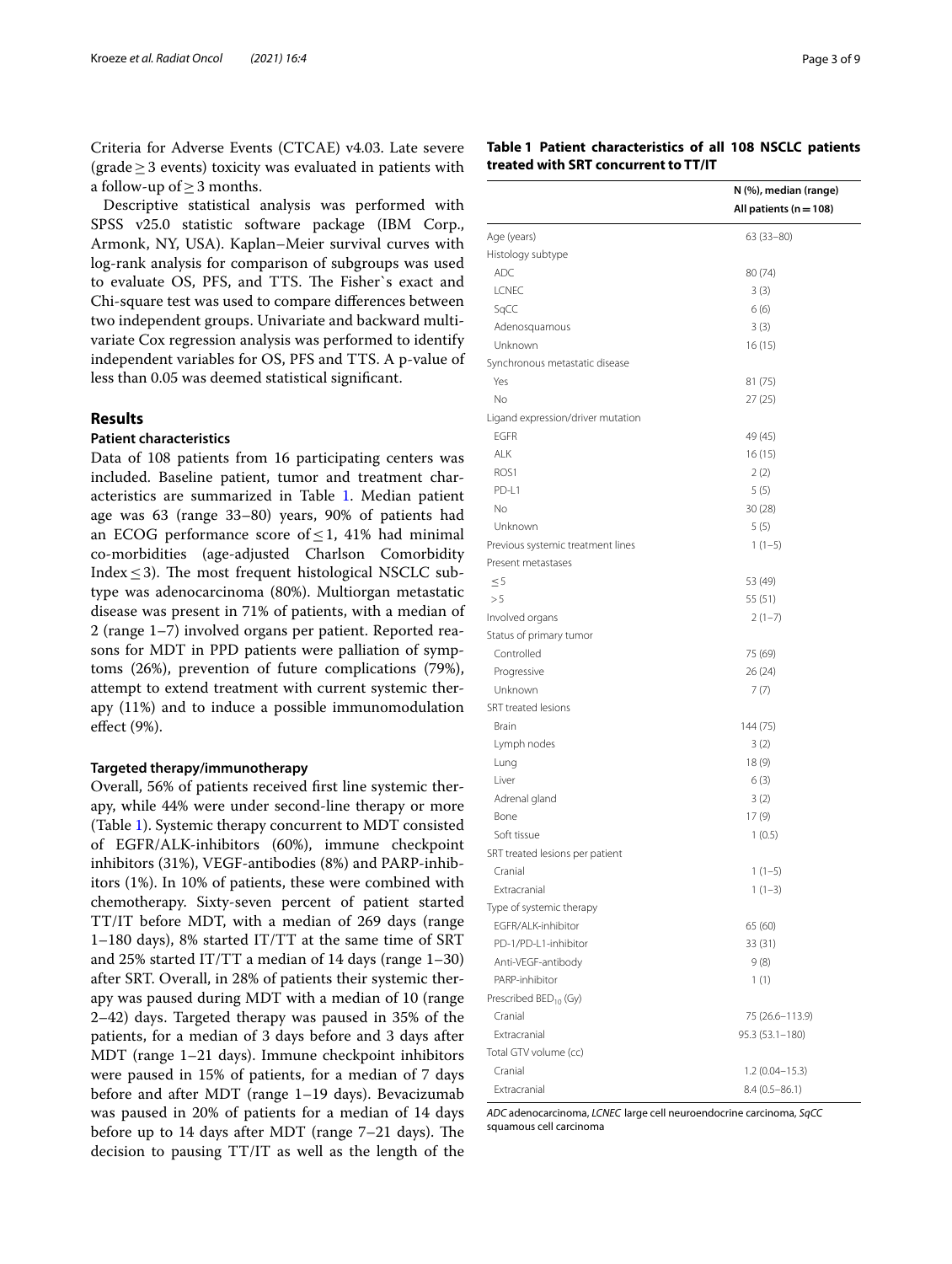Criteria for Adverse Events (CTCAE) v4.03. Late severe (grade≥3 events) toxicity was evaluated in patients with a follow-up of  $\geq$  3 months.

Descriptive statistical analysis was performed with SPSS v25.0 statistic software package (IBM Corp., Armonk, NY, USA). Kaplan–Meier survival curves with log-rank analysis for comparison of subgroups was used to evaluate OS, PFS, and TTS. The Fisher's exact and Chi-square test was used to compare diferences between two independent groups. Univariate and backward multivariate Cox regression analysis was performed to identify independent variables for OS, PFS and TTS. A p-value of less than 0.05 was deemed statistical signifcant.

# **Results**

# **Patient characteristics**

Data of 108 patients from 16 participating centers was included. Baseline patient, tumor and treatment characteristics are summarized in Table [1](#page-2-0). Median patient age was 63 (range 33–80) years, 90% of patients had an ECOG performance score of < 1, 41% had minimal co-morbidities (age-adjusted Charlson Comorbidity Index  $\leq$  3). The most frequent histological NSCLC subtype was adenocarcinoma (80%). Multiorgan metastatic disease was present in 71% of patients, with a median of 2 (range 1–7) involved organs per patient. Reported reasons for MDT in PPD patients were palliation of symptoms (26%), prevention of future complications (79%), attempt to extend treatment with current systemic therapy (11%) and to induce a possible immunomodulation efect (9%).

## **Targeted therapy/immunotherapy**

Overall, 56% of patients received frst line systemic therapy, while 44% were under second-line therapy or more (Table [1](#page-2-0)). Systemic therapy concurrent to MDT consisted of EGFR/ALK-inhibitors (60%), immune checkpoint inhibitors (31%), VEGF-antibodies (8%) and PARP-inhibitors (1%). In 10% of patients, these were combined with chemotherapy. Sixty-seven percent of patient started TT/IT before MDT, with a median of 269 days (range 1–180 days), 8% started IT/TT at the same time of SRT and 25% started IT/TT a median of 14 days (range 1–30) after SRT. Overall, in 28% of patients their systemic therapy was paused during MDT with a median of 10 (range 2–42) days. Targeted therapy was paused in 35% of the patients, for a median of 3 days before and 3 days after MDT (range 1–21 days). Immune checkpoint inhibitors were paused in 15% of patients, for a median of 7 days before and after MDT (range 1–19 days). Bevacizumab was paused in 20% of patients for a median of 14 days before up to  $14$  days after MDT (range  $7-21$  days). The decision to pausing TT/IT as well as the length of the

# <span id="page-2-0"></span>**Table 1 Patient characteristics of all 108 NSCLC patients treated with SRT concurrent to TT/IT**

|                                                         | N (%), median (range)      |
|---------------------------------------------------------|----------------------------|
|                                                         | All patients ( $n = 108$ ) |
| Age (years)                                             | $63(33-80)$                |
| Histology subtype                                       |                            |
| <b>ADC</b>                                              | 80 (74)                    |
| <b>LCNEC</b>                                            | 3(3)                       |
| SqCC                                                    | 6(6)                       |
| Adenosquamous                                           | 3(3)                       |
| Unknown                                                 | 16(15)                     |
| Synchronous metastatic disease                          |                            |
| Yes                                                     | 81 (75)                    |
| No                                                      | 27 (25)                    |
| Ligand expression/driver mutation                       |                            |
| <b>EGFR</b>                                             | 49 (45)                    |
| ALK                                                     | 16(15)                     |
| ROS <sub>1</sub>                                        | 2(2)                       |
| PD-L1                                                   | 5(5)                       |
| No                                                      | 30 (28)                    |
| Unknown                                                 | 5(5)                       |
|                                                         |                            |
| Previous systemic treatment lines<br>Present metastases | $1(1-5)$                   |
|                                                         |                            |
| $\leq$ 5<br>> 5                                         | 53 (49)                    |
|                                                         | 55 (51)                    |
| Involved organs                                         | $2(1-7)$                   |
| Status of primary tumor                                 |                            |
| Controlled                                              | 75 (69)                    |
| Progressive                                             | 26 (24)                    |
| Unknown                                                 | 7(7)                       |
| SRT treated lesions                                     |                            |
| Brain                                                   | 144 (75)                   |
| Lymph nodes                                             | 3(2)                       |
| Lung                                                    | 18(9)                      |
| Liver                                                   | 6(3)                       |
| Adrenal gland                                           | 3(2)                       |
| Bone                                                    | 17(9)                      |
| Soft tissue                                             | 1(0.5)                     |
| SRT treated lesions per patient                         |                            |
| Cranial                                                 | $1(1-5)$                   |
| Extracranial                                            | $1(1-3)$                   |
| Type of systemic therapy                                |                            |
| EGFR/ALK-inhibitor                                      | 65 (60)                    |
| PD-1/PD-L1-inhibitor                                    | 33 (31)                    |
| Anti-VEGF-antibody                                      | 9(8)                       |
| PARP-inhibitor                                          | 1(1)                       |
| Prescribed BED <sub>10</sub> (Gy)                       |                            |
| Cranial                                                 | 75 (26.6-113.9)            |
| Extracranial                                            | $95.3(53.1 - 180)$         |
| Total GTV volume (cc)                                   |                            |
| Cranial                                                 | $1.2(0.04 - 15.3)$         |
| Extracranial                                            | $8.4(0.5 - 86.1)$          |
|                                                         |                            |

*ADC* adenocarcinoma, *LCNEC* large cell neuroendocrine carcinoma, *SqCC*  squamous cell carcinoma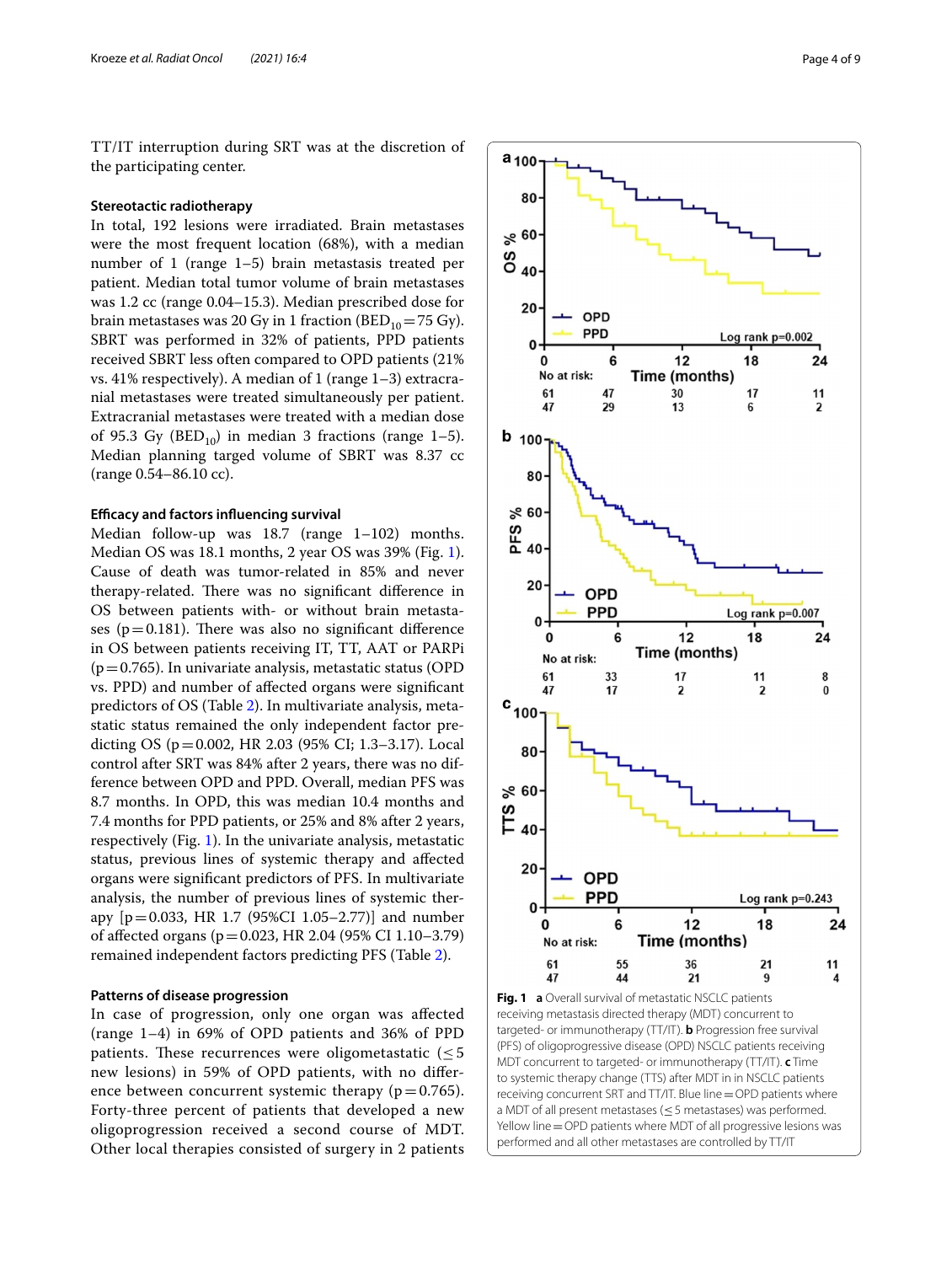TT/IT interruption during SRT was at the discretion of the participating center.

#### **Stereotactic radiotherapy**

In total, 192 lesions were irradiated. Brain metastases were the most frequent location (68%), with a median number of 1 (range 1–5) brain metastasis treated per patient. Median total tumor volume of brain metastases was 1.2 cc (range 0.04–15.3). Median prescribed dose for brain metastases was 20 Gy in 1 fraction (BED<sub>10</sub>=75 Gy). SBRT was performed in 32% of patients, PPD patients received SBRT less often compared to OPD patients (21% vs. 41% respectively). A median of 1 (range 1–3) extracranial metastases were treated simultaneously per patient. Extracranial metastases were treated with a median dose of 95.3 Gy ( $BED_{10}$ ) in median 3 fractions (range 1–5). Median planning targed volume of SBRT was 8.37 cc (range 0.54–86.10 cc).

# **Efcacy and factors infuencing survival**

Median follow-up was 18.7 (range 1–102) months. Median OS was 18.1 months, 2 year OS was 39% (Fig. [1](#page-3-0)). Cause of death was tumor-related in 85% and never therapy-related. There was no significant difference in OS between patients with- or without brain metastases ( $p=0.181$ ). There was also no significant difference in OS between patients receiving IT, TT, AAT or PARPi  $(p=0.765)$ . In univariate analysis, metastatic status (OPD) vs. PPD) and number of afected organs were signifcant predictors of OS (Table [2](#page-4-0)). In multivariate analysis, metastatic status remained the only independent factor predicting OS (p=0.002, HR 2.03 (95% CI; 1.3–3.17). Local control after SRT was 84% after 2 years, there was no difference between OPD and PPD. Overall, median PFS was 8.7 months. In OPD, this was median 10.4 months and 7.4 months for PPD patients, or 25% and 8% after 2 years, respectively (Fig. [1](#page-3-0)). In the univariate analysis, metastatic status, previous lines of systemic therapy and afected organs were signifcant predictors of PFS. In multivariate analysis, the number of previous lines of systemic therapy  $[p=0.033, HR 1.7 (95\% CI 1.05-2.77)]$  and number of afected organs (p=0.023, HR 2.04 (95% CI 1.10–3.79) remained independent factors predicting PFS (Table [2\)](#page-4-0).

# **Patterns of disease progression**

In case of progression, only one organ was afected (range 1–4) in 69% of OPD patients and 36% of PPD patients. These recurrences were oligometastatic  $(\leq 5$ new lesions) in 59% of OPD patients, with no diference between concurrent systemic therapy ( $p=0.765$ ). Forty-three percent of patients that developed a new oligoprogression received a second course of MDT. Other local therapies consisted of surgery in 2 patients



<span id="page-3-0"></span>**Fig. 1 a** Overall survival of metastatic NSCLC patients receiving metastasis directed therapy (MDT) concurrent to targeted- or immunotherapy (TT/IT). **b** Progression free survival (PFS) of oligoprogressive disease (OPD) NSCLC patients receiving MDT concurrent to targeted- or immunotherapy (TT/IT). **c** Time to systemic therapy change (TTS) after MDT in in NSCLC patients receiving concurrent SRT and TT/IT. Blue line=OPD patients where a MDT of all present metastases (≤5 metastases) was performed. Yellow line = OPD patients where MDT of all progressive lesions was performed and all other metastases are controlled by TT/IT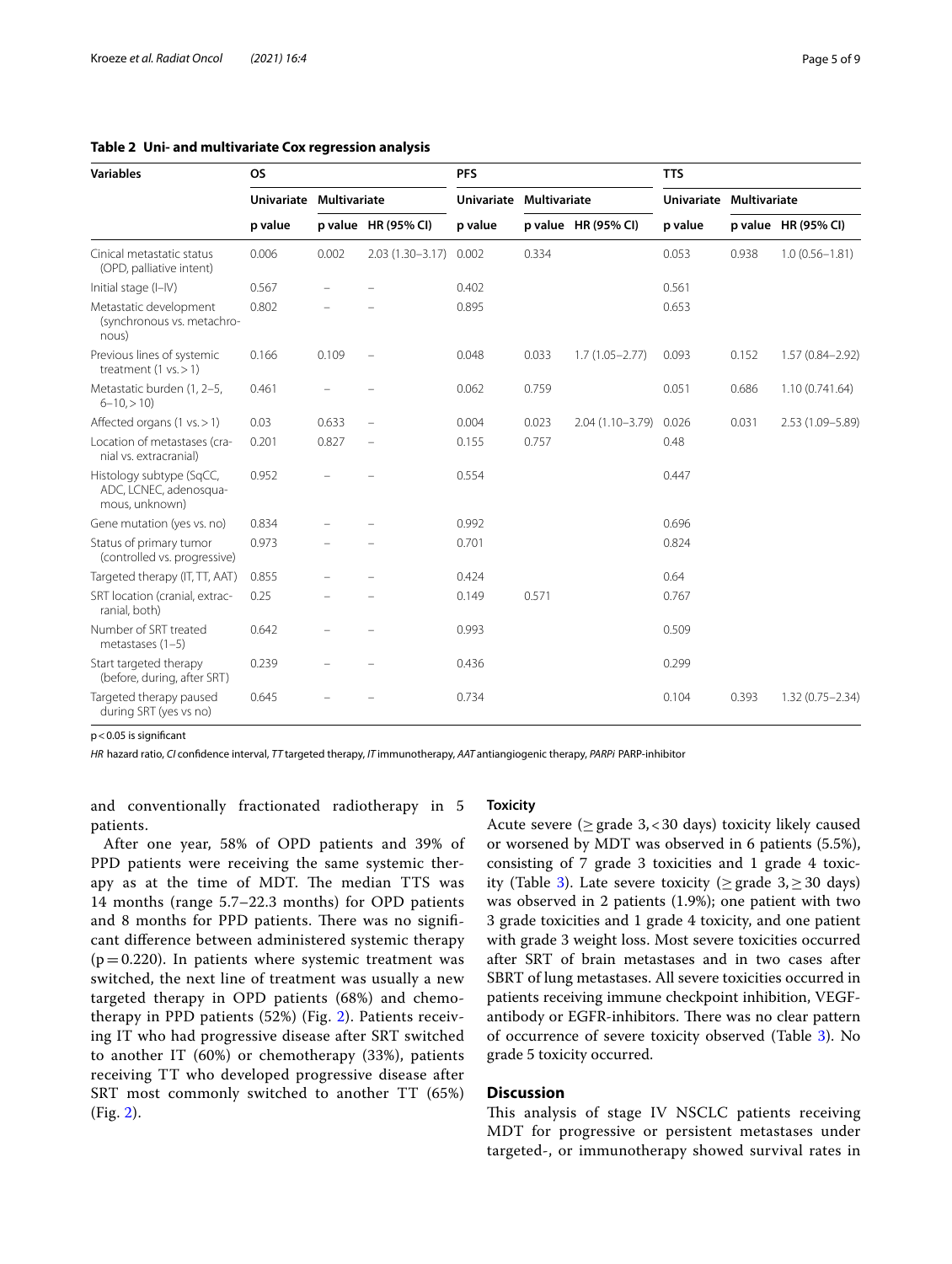| <b>Variables</b>                                                     | <b>OS</b> |                         |                     | <b>PFS</b> |                         |                     | <b>TTS</b> |                         |                     |
|----------------------------------------------------------------------|-----------|-------------------------|---------------------|------------|-------------------------|---------------------|------------|-------------------------|---------------------|
|                                                                      |           | Univariate Multivariate |                     |            | Univariate Multivariate |                     |            | Univariate Multivariate |                     |
|                                                                      | p value   |                         | p value HR (95% CI) | p value    |                         | p value HR (95% CI) | p value    |                         | p value HR (95% CI) |
| Cinical metastatic status<br>(OPD, palliative intent)                | 0.006     | 0.002                   | $2.03(1.30 - 3.17)$ | 0.002      | 0.334                   |                     | 0.053      | 0.938                   | $1.0(0.56 - 1.81)$  |
| Initial stage (I-IV)                                                 | 0.567     |                         |                     | 0.402      |                         |                     | 0.561      |                         |                     |
| Metastatic development<br>(synchronous vs. metachro-<br>nous)        | 0.802     |                         |                     | 0.895      |                         |                     | 0.653      |                         |                     |
| Previous lines of systemic<br>treatment $(1 \text{ vs.} > 1)$        | 0.166     | 0.109                   |                     | 0.048      | 0.033                   | $1.7(1.05 - 2.77)$  | 0.093      | 0.152                   | 1.57 (0.84-2.92)    |
| Metastatic burden (1, 2-5,<br>$6 - 10$ , $> 10$ )                    | 0.461     |                         |                     | 0.062      | 0.759                   |                     | 0.051      | 0.686                   | 1.10 (0.741.64)     |
| Affected organs $(1 \text{ vs.} > 1)$                                | 0.03      | 0.633                   |                     | 0.004      | 0.023                   | $2.04(1.10-3.79)$   | 0.026      | 0.031                   | 2.53 (1.09-5.89)    |
| Location of metastases (cra-<br>nial vs. extracranial)               | 0.201     | 0.827                   |                     | 0.155      | 0.757                   |                     | 0.48       |                         |                     |
| Histology subtype (SqCC,<br>ADC, LCNEC, adenosqua-<br>mous, unknown) | 0.952     |                         |                     | 0.554      |                         |                     | 0.447      |                         |                     |
| Gene mutation (yes vs. no)                                           | 0.834     |                         |                     | 0.992      |                         |                     | 0.696      |                         |                     |
| Status of primary tumor<br>(controlled vs. progressive)              | 0.973     |                         |                     | 0.701      |                         |                     | 0.824      |                         |                     |
| Targeted therapy (IT, TT, AAT)                                       | 0.855     |                         |                     | 0.424      |                         |                     | 0.64       |                         |                     |
| SRT location (cranial, extrac-<br>ranial, both)                      | 0.25      |                         |                     | 0.149      | 0.571                   |                     | 0.767      |                         |                     |
| Number of SRT treated<br>metastases $(1-5)$                          | 0.642     |                         |                     | 0.993      |                         |                     | 0.509      |                         |                     |
| Start targeted therapy<br>(before, during, after SRT)                | 0.239     |                         |                     | 0.436      |                         |                     | 0.299      |                         |                     |
| Targeted therapy paused<br>during SRT (yes vs no)                    | 0.645     |                         |                     | 0.734      |                         |                     | 0.104      | 0.393                   | $1.32(0.75 - 2.34)$ |

# <span id="page-4-0"></span>**Table 2 Uni- and multivariate Cox regression analysis**

p<0.05 is signifcant

*HR* hazard ratio, *CI* confdence interval, *TT* targeted therapy, *IT* immunotherapy, *AAT* antiangiogenic therapy, *PARPi* PARP-inhibitor

and conventionally fractionated radiotherapy in 5 patients.

# After one year, 58% of OPD patients and 39% of PPD patients were receiving the same systemic therapy as at the time of MDT. The median TTS was 14 months (range 5.7–22.3 months) for OPD patients and 8 months for PPD patients. There was no significant diference between administered systemic therapy  $(p=0.220)$ . In patients where systemic treatment was switched, the next line of treatment was usually a new targeted therapy in OPD patients (68%) and chemotherapy in PPD patients (52%) (Fig. [2\)](#page-5-0). Patients receiving IT who had progressive disease after SRT switched to another IT (60%) or chemotherapy (33%), patients receiving TT who developed progressive disease after SRT most commonly switched to another TT (65%) (Fig. [2\)](#page-5-0).

# **Toxicity**

Acute severe ( $\geq$  grade 3, < 30 days) toxicity likely caused or worsened by MDT was observed in 6 patients (5.5%), consisting of 7 grade 3 toxicities and 1 grade 4 toxic-ity (Table [3](#page-6-0)). Late severe toxicity ( $\geq$  grade 3, $\geq$  30 days) was observed in 2 patients (1.9%); one patient with two 3 grade toxicities and 1 grade 4 toxicity, and one patient with grade 3 weight loss. Most severe toxicities occurred after SRT of brain metastases and in two cases after SBRT of lung metastases. All severe toxicities occurred in patients receiving immune checkpoint inhibition, VEGFantibody or EGFR-inhibitors. There was no clear pattern of occurrence of severe toxicity observed (Table [3\)](#page-6-0). No grade 5 toxicity occurred.

# **Discussion**

This analysis of stage IV NSCLC patients receiving MDT for progressive or persistent metastases under targeted-, or immunotherapy showed survival rates in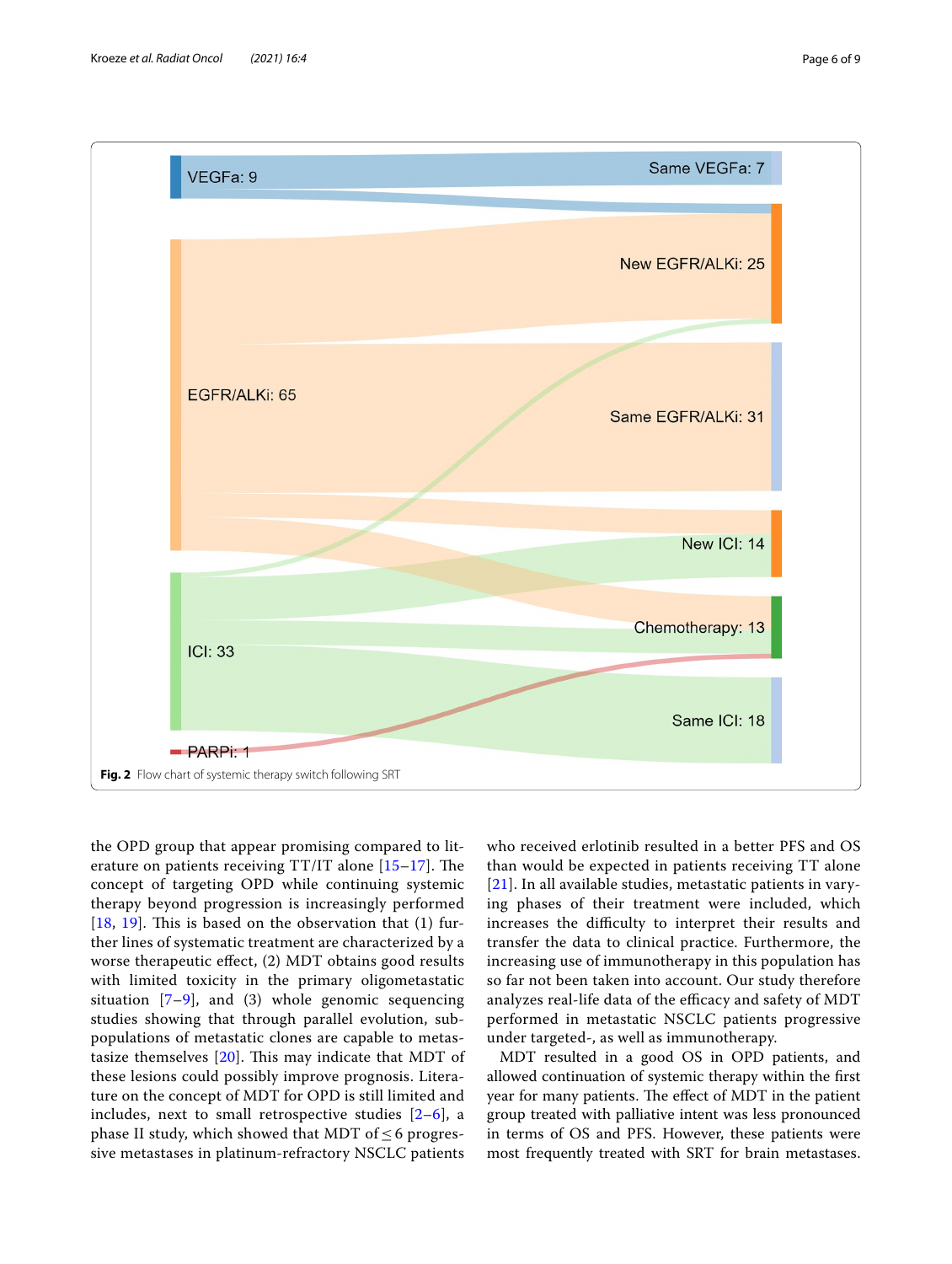

<span id="page-5-0"></span>the OPD group that appear promising compared to literature on patients receiving  $TT/IT$  alone  $[15-17]$  $[15-17]$ . The concept of targeting OPD while continuing systemic therapy beyond progression is increasingly performed [[18](#page-8-8), [19](#page-8-9)]. This is based on the observation that  $(1)$  further lines of systematic treatment are characterized by a worse therapeutic effect, (2) MDT obtains good results with limited toxicity in the primary oligometastatic situation  $[7-9]$  $[7-9]$  $[7-9]$ , and (3) whole genomic sequencing studies showing that through parallel evolution, subpopulations of metastatic clones are capable to metastasize themselves  $[20]$  $[20]$ . This may indicate that MDT of these lesions could possibly improve prognosis. Literature on the concept of MDT for OPD is still limited and includes, next to small retrospective studies  $[2-6]$  $[2-6]$ , a phase II study, which showed that MDT of  $\leq$  6 progressive metastases in platinum-refractory NSCLC patients

who received erlotinib resulted in a better PFS and OS than would be expected in patients receiving TT alone [[21](#page-8-11)]. In all available studies, metastatic patients in varying phases of their treatment were included, which increases the difficulty to interpret their results and transfer the data to clinical practice. Furthermore, the increasing use of immunotherapy in this population has so far not been taken into account. Our study therefore analyzes real-life data of the efficacy and safety of MDT performed in metastatic NSCLC patients progressive under targeted-, as well as immunotherapy.

MDT resulted in a good OS in OPD patients, and allowed continuation of systemic therapy within the frst year for many patients. The effect of MDT in the patient group treated with palliative intent was less pronounced in terms of OS and PFS. However, these patients were most frequently treated with SRT for brain metastases.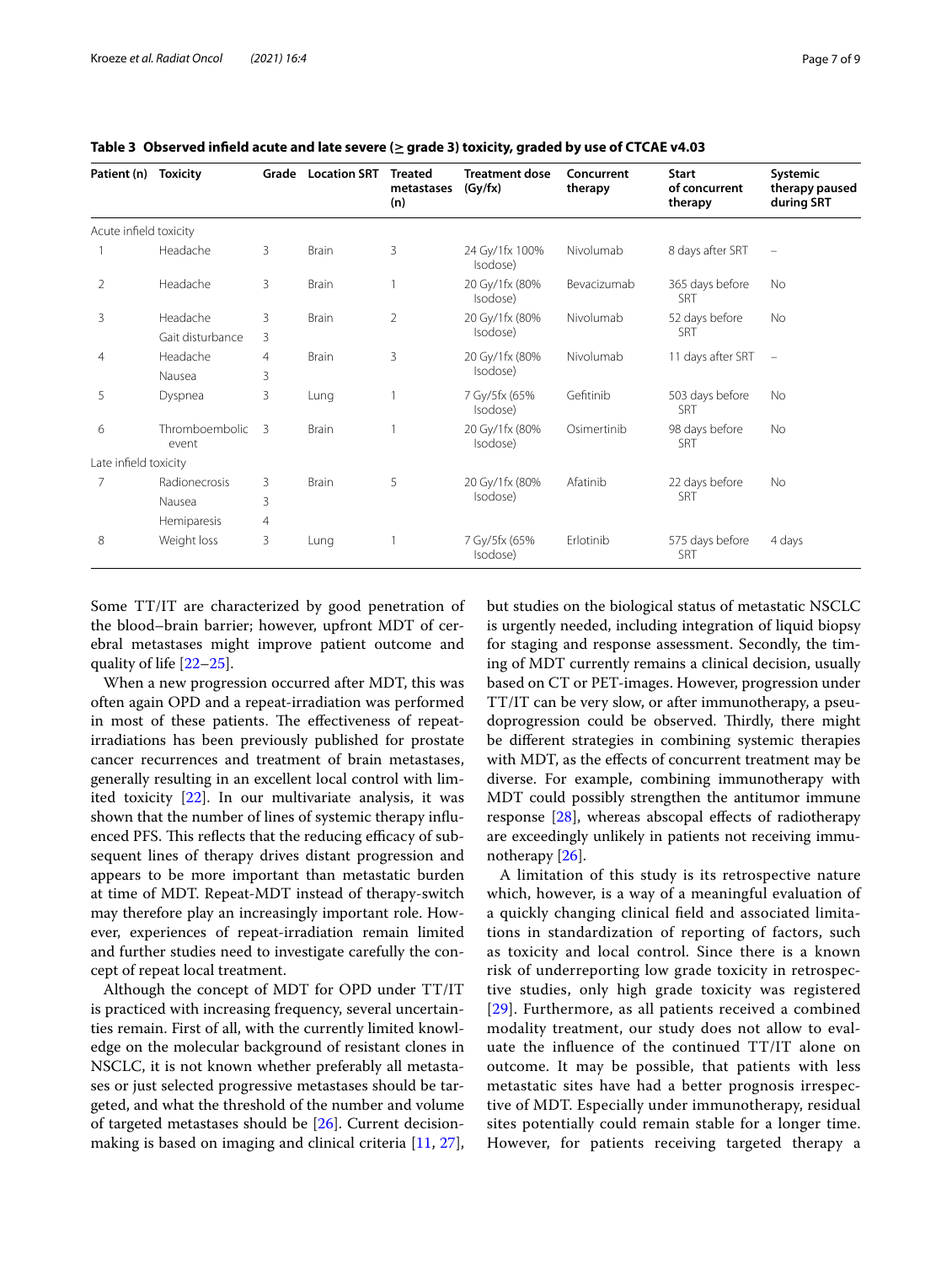| Patient (n)            | <b>Toxicity</b>         | Grade | <b>Location SRT</b> | <b>Treated</b><br>metastases<br>(n) | <b>Treatment dose</b><br>(Gy/fx) | Concurrent<br>therapy | <b>Start</b><br>of concurrent<br>therapy | Systemic<br>therapy paused<br>during SRT |
|------------------------|-------------------------|-------|---------------------|-------------------------------------|----------------------------------|-----------------------|------------------------------------------|------------------------------------------|
| Acute infield toxicity |                         |       |                     |                                     |                                  |                       |                                          |                                          |
|                        | Headache                | 3     | <b>Brain</b>        | 3                                   | 24 Gy/1fx 100%<br>Isodose)       | Nivolumab             | 8 days after SRT                         | $\overline{\phantom{m}}$                 |
| 2                      | Headache                | 3     | Brain               |                                     | 20 Gy/1fx (80%<br>Isodose)       | Bevacizumab           | 365 days before<br><b>SRT</b>            | No                                       |
| 3                      | Headache                | 3     | Brain               | $\overline{2}$                      | 20 Gy/1fx (80%<br>Isodose)       | Nivolumab             | 52 days before<br><b>SRT</b>             | <b>No</b>                                |
|                        | Gait disturbance        | 3     |                     |                                     |                                  |                       |                                          |                                          |
| 4                      | Headache                | 4     | <b>Brain</b>        | 3                                   | 20 Gy/1fx (80%<br>Isodose)       | Nivolumab             | 11 days after SRT                        | $\qquad \qquad \longleftarrow$           |
|                        | Nausea                  | 3     |                     |                                     |                                  |                       |                                          |                                          |
| 5                      | Dyspnea                 | 3     | Lung                |                                     | 7 Gy/5fx (65%<br>Isodose)        | Gefitinib             | 503 days before<br>SRT                   | <b>No</b>                                |
| 6                      | Thromboembolic<br>event | 3     | <b>Brain</b>        |                                     | 20 Gy/1fx (80%<br>Isodose)       | Osimertinib           | 98 days before<br><b>SRT</b>             | No                                       |
| Late infield toxicity  |                         |       |                     |                                     |                                  |                       |                                          |                                          |
| 7                      | Radionecrosis           | 3     | Brain               | 5                                   | 20 Gy/1fx (80%<br>Isodose)       | Afatinib              | 22 days before<br>SRT                    | No                                       |
|                        | Nausea                  | 3     |                     |                                     |                                  |                       |                                          |                                          |
|                        | Hemiparesis             | 4     |                     |                                     |                                  |                       |                                          |                                          |
| 8                      | Weight loss             | 3     | Lung                |                                     | 7 Gy/5fx (65%<br>Isodose)        | Erlotinib             | 575 days before<br>SRT                   | 4 days                                   |

<span id="page-6-0"></span>**Table 3 Observed infeld acute and late severe (≥grade 3) toxicity, graded by use of CTCAE v4.03**

Some TT/IT are characterized by good penetration of the blood–brain barrier; however, upfront MDT of cerebral metastases might improve patient outcome and quality of life [\[22](#page-8-12)[–25\]](#page-8-13).

When a new progression occurred after MDT, this was often again OPD and a repeat-irradiation was performed in most of these patients. The effectiveness of repeatirradiations has been previously published for prostate cancer recurrences and treatment of brain metastases, generally resulting in an excellent local control with limited toxicity [\[22](#page-8-12)]. In our multivariate analysis, it was shown that the number of lines of systemic therapy infuenced PFS. This reflects that the reducing efficacy of subsequent lines of therapy drives distant progression and appears to be more important than metastatic burden at time of MDT. Repeat-MDT instead of therapy-switch may therefore play an increasingly important role. However, experiences of repeat-irradiation remain limited and further studies need to investigate carefully the concept of repeat local treatment.

Although the concept of MDT for OPD under TT/IT is practiced with increasing frequency, several uncertainties remain. First of all, with the currently limited knowledge on the molecular background of resistant clones in NSCLC, it is not known whether preferably all metastases or just selected progressive metastases should be targeted, and what the threshold of the number and volume of targeted metastases should be [[26\]](#page-8-14). Current decisionmaking is based on imaging and clinical criteria [\[11](#page-8-2), [27](#page-8-15)], but studies on the biological status of metastatic NSCLC is urgently needed, including integration of liquid biopsy for staging and response assessment. Secondly, the timing of MDT currently remains a clinical decision, usually based on CT or PET-images. However, progression under TT/IT can be very slow, or after immunotherapy, a pseudoprogression could be observed. Thirdly, there might be diferent strategies in combining systemic therapies with MDT, as the efects of concurrent treatment may be diverse. For example, combining immunotherapy with MDT could possibly strengthen the antitumor immune response [\[28](#page-8-16)], whereas abscopal efects of radiotherapy are exceedingly unlikely in patients not receiving immunotherapy [[26\]](#page-8-14).

A limitation of this study is its retrospective nature which, however, is a way of a meaningful evaluation of a quickly changing clinical feld and associated limitations in standardization of reporting of factors, such as toxicity and local control. Since there is a known risk of underreporting low grade toxicity in retrospective studies, only high grade toxicity was registered [[29](#page-8-17)]. Furthermore, as all patients received a combined modality treatment, our study does not allow to evaluate the infuence of the continued TT/IT alone on outcome. It may be possible, that patients with less metastatic sites have had a better prognosis irrespective of MDT. Especially under immunotherapy, residual sites potentially could remain stable for a longer time. However, for patients receiving targeted therapy a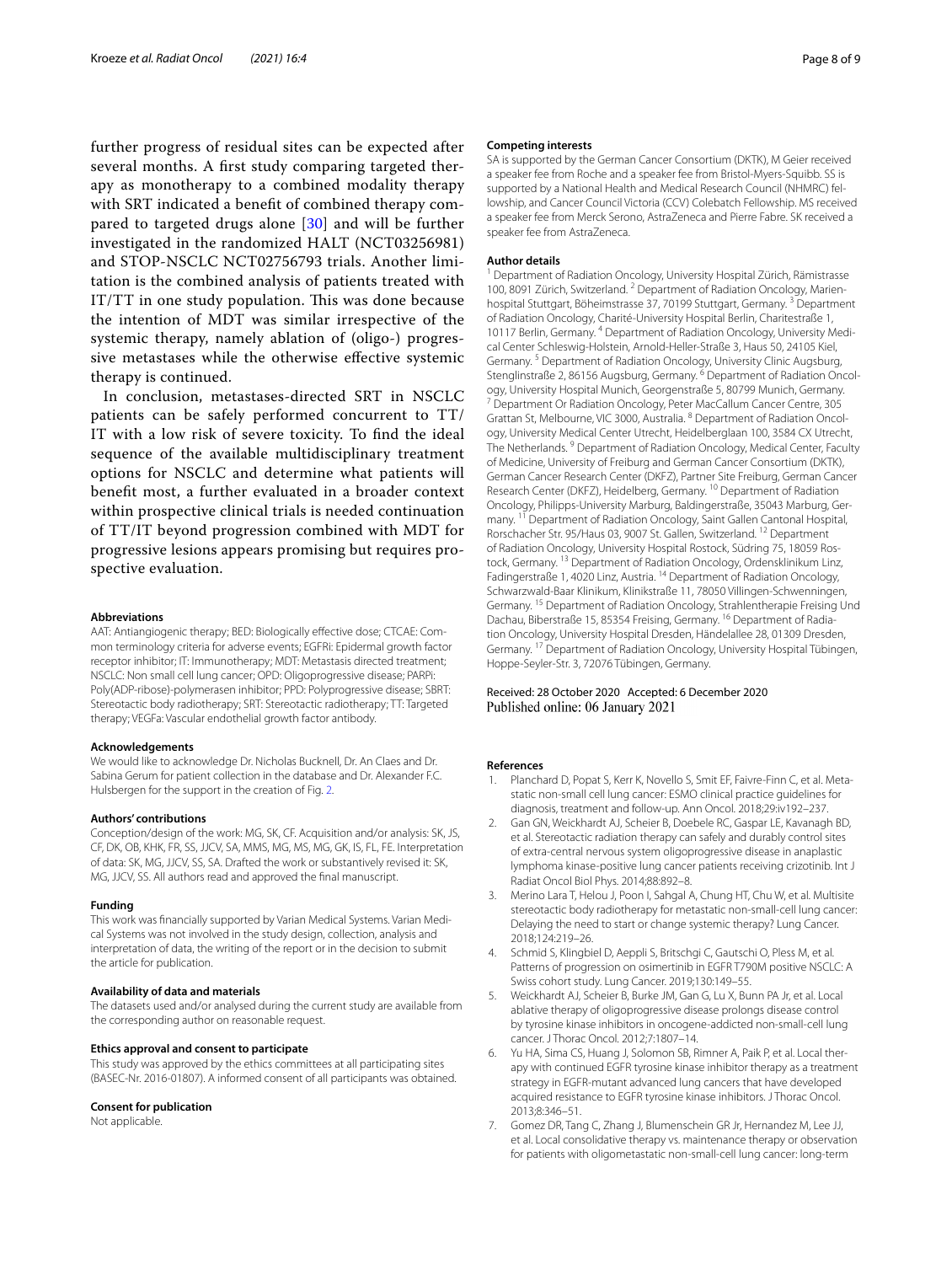further progress of residual sites can be expected after several months. A frst study comparing targeted therapy as monotherapy to a combined modality therapy with SRT indicated a beneft of combined therapy compared to targeted drugs alone [[30](#page-8-18)] and will be further investigated in the randomized HALT (NCT03256981) and STOP-NSCLC NCT02756793 trials. Another limitation is the combined analysis of patients treated with IT/TT in one study population. This was done because the intention of MDT was similar irrespective of the systemic therapy, namely ablation of (oligo-) progressive metastases while the otherwise efective systemic therapy is continued.

In conclusion, metastases-directed SRT in NSCLC patients can be safely performed concurrent to TT/ IT with a low risk of severe toxicity. To fnd the ideal sequence of the available multidisciplinary treatment options for NSCLC and determine what patients will beneft most, a further evaluated in a broader context within prospective clinical trials is needed continuation of TT/IT beyond progression combined with MDT for progressive lesions appears promising but requires prospective evaluation.

#### **Abbreviations**

AAT: Antiangiogenic therapy; BED: Biologically efective dose; CTCAE: Common terminology criteria for adverse events; EGFRi: Epidermal growth factor receptor inhibitor; IT: Immunotherapy; MDT: Metastasis directed treatment; NSCLC: Non small cell lung cancer; OPD: Oligoprogressive disease; PARPi: Poly(ADP-ribose)-polymerasen inhibitor; PPD: Polyprogressive disease; SBRT: Stereotactic body radiotherapy; SRT: Stereotactic radiotherapy; TT: Targeted therapy; VEGFa: Vascular endothelial growth factor antibody.

#### **Acknowledgements**

We would like to acknowledge Dr. Nicholas Bucknell, Dr. An Claes and Dr. Sabina Gerum for patient collection in the database and Dr. Alexander F.C. Hulsbergen for the support in the creation of Fig. [2.](#page-5-0)

#### **Authors' contributions**

Conception/design of the work: MG, SK, CF. Acquisition and/or analysis: SK, JS, CF, DK, OB, KHK, FR, SS, JJCV, SA, MMS, MG, MS, MG, GK, IS, FL, FE. Interpretation of data: SK, MG, JJCV, SS, SA. Drafted the work or substantively revised it: SK, MG, JJCV, SS. All authors read and approved the fnal manuscript.

#### **Funding**

This work was fnancially supported by Varian Medical Systems. Varian Medical Systems was not involved in the study design, collection, analysis and interpretation of data, the writing of the report or in the decision to submit the article for publication.

#### **Availability of data and materials**

The datasets used and/or analysed during the current study are available from the corresponding author on reasonable request.

#### **Ethics approval and consent to participate**

This study was approved by the ethics committees at all participating sites (BASEC-Nr. 2016-01807). A informed consent of all participants was obtained.

#### **Consent for publication**

Not applicable.

#### **Competing interests**

SA is supported by the German Cancer Consortium (DKTK), M Geier received a speaker fee from Roche and a speaker fee from Bristol-Myers-Squibb. SS is supported by a National Health and Medical Research Council (NHMRC) fellowship, and Cancer Council Victoria (CCV) Colebatch Fellowship. MS received a speaker fee from Merck Serono, AstraZeneca and Pierre Fabre. SK received a speaker fee from AstraZeneca.

#### **Author details**

<sup>1</sup> Department of Radiation Oncology, University Hospital Zürich, Rämistrasse 100, 8091 Zürich, Switzerland. <sup>2</sup> Department of Radiation Oncology, Marienhospital Stuttgart, Böheimstrasse 37, 70199 Stuttgart, Germany. 3 Department of Radiation Oncology, Charité-University Hospital Berlin, Charitestraße 1, 10117 Berlin, Germany. 4 Department of Radiation Oncology, University Medical Center Schleswig-Holstein, Arnold-Heller-Straße 3, Haus 50, 24105 Kiel, Germany. 5 Department of Radiation Oncology, University Clinic Augsburg, Stenglinstraße 2, 86156 Augsburg, Germany.<sup>6</sup> Department of Radiation Oncology, University Hospital Munich, Georgenstraße 5, 80799 Munich, Germany.<br><sup>7</sup> Department Or Radiation Oncology, Peter MacCallum Cancer Centre, 305 Grattan St, Melbourne, VIC 3000, Australia. <sup>8</sup> Department of Radiation Oncology, University Medical Center Utrecht, Heidelberglaan 100, 3584 CX Utrecht, The Netherlands. 9 Department of Radiation Oncology, Medical Center, Faculty of Medicine, University of Freiburg and German Cancer Consortium (DKTK), German Cancer Research Center (DKFZ), Partner Site Freiburg, German Cancer Research Center (DKFZ), Heidelberg, Germany. 10 Department of Radiation Oncology, Philipps-University Marburg, Baldingerstraße, 35043 Marburg, Germany. <sup>11</sup> Department of Radiation Oncology, Saint Gallen Cantonal Hospital, Rorschacher Str. 95/Haus 03, 9007 St. Gallen, Switzerland. 12 Department of Radiation Oncology, University Hospital Rostock, Südring 75, 18059 Rostock, Germany. <sup>13</sup> Department of Radiation Oncology, Ordensklinikum Linz, Fadingerstraße 1, 4020 Linz, Austria. 14 Department of Radiation Oncology, Schwarzwald-Baar Klinikum, Klinikstraße 11, 78050 Villingen-Schwenningen, Germany. 15 Department of Radiation Oncology, Strahlentherapie Freising Und Dachau, Biberstraße 15, 85354 Freising, Germany. 16 Department of Radiation Oncology, University Hospital Dresden, Händelallee 28, 01309 Dresden, Germany. <sup>17</sup> Department of Radiation Oncology, University Hospital Tübingen, Hoppe-Seyler-Str. 3, 72076 Tübingen, Germany.

### Received: 28 October 2020 Accepted: 6 December 2020 Published online: 06 January 2021

#### **References**

- <span id="page-7-0"></span>1. Planchard D, Popat S, Kerr K, Novello S, Smit EF, Faivre-Finn C, et al. Metastatic non-small cell lung cancer: ESMO clinical practice guidelines for diagnosis, treatment and follow-up. Ann Oncol. 2018;29:iv192–237.
- <span id="page-7-1"></span>2. Gan GN, Weickhardt AJ, Scheier B, Doebele RC, Gaspar LE, Kavanagh BD, et al. Stereotactic radiation therapy can safely and durably control sites of extra-central nervous system oligoprogressive disease in anaplastic lymphoma kinase-positive lung cancer patients receiving crizotinib. Int J Radiat Oncol Biol Phys. 2014;88:892–8.
- <span id="page-7-4"></span>3. Merino Lara T, Helou J, Poon I, Sahgal A, Chung HT, Chu W, et al. Multisite stereotactic body radiotherapy for metastatic non-small-cell lung cancer: Delaying the need to start or change systemic therapy? Lung Cancer. 2018;124:219–26.
- 4. Schmid S, Klingbiel D, Aeppli S, Britschgi C, Gautschi O, Pless M, et al. Patterns of progression on osimertinib in EGFR T790M positive NSCLC: A Swiss cohort study. Lung Cancer. 2019;130:149–55.
- 5. Weickhardt AJ, Scheier B, Burke JM, Gan G, Lu X, Bunn PA Jr, et al. Local ablative therapy of oligoprogressive disease prolongs disease control by tyrosine kinase inhibitors in oncogene-addicted non-small-cell lung cancer. J Thorac Oncol. 2012;7:1807–14.
- <span id="page-7-2"></span>6. Yu HA, Sima CS, Huang J, Solomon SB, Rimner A, Paik P, et al. Local therapy with continued EGFR tyrosine kinase inhibitor therapy as a treatment strategy in EGFR-mutant advanced lung cancers that have developed acquired resistance to EGFR tyrosine kinase inhibitors. J Thorac Oncol. 2013;8:346–51.
- <span id="page-7-3"></span>7. Gomez DR, Tang C, Zhang J, Blumenschein GR Jr, Hernandez M, Lee JJ, et al. Local consolidative therapy vs. maintenance therapy or observation for patients with oligometastatic non-small-cell lung cancer: long-term